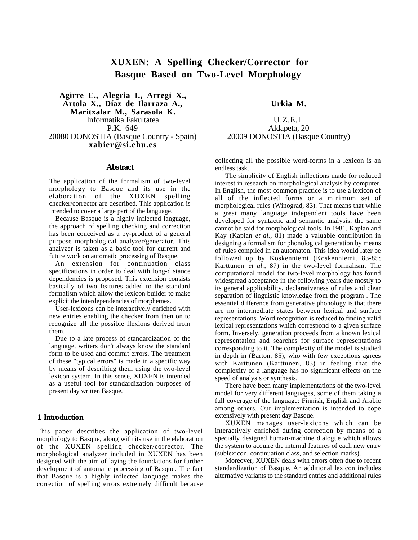# **XUXEN: A Spelling Checker/Corrector for Basque Based on Two-Level Morphology**

**Agirre E., Alegria I., Arregi X., Artola X., Díaz de Ilarraza A., Urkia M. Maritxalar M., Sarasola K.** Informatika Fakultatea U.Z.E.I. 20080 DONOSTIA (Basque Country - Spain) **xabier@si.ehu.es**

#### **Abstract**

The application of the formalism of two-level morphology to Basque and its use in the elaboration of the XUXEN spelling checker/corrector are described. This application is intended to cover a large part of the language.

Because Basque is a highly inflected language, the approach of spelling checking and correction has been conceived as a by-product of a general purpose morphological analyzer/generator. This analyzer is taken as a basic tool for current and future work on automatic processing of Basque.

An extension for continuation class specifications in order to deal with long-distance dependencies is proposed. This extension consists basically of two features added to the standard formalism which allow the lexicon builder to make explicit the interdependencies of morphemes.

User-lexicons can be interactively enriched with new entries enabling the checker from then on to recognize all the possible flexions derived from them.

Due to a late process of standardization of the language, writers don't always know the standard form to be used and commit errors. The treatment of these "typical errors" is made in a specific way by means of describing them using the two-level lexicon system. In this sense, XUXEN is intended as a useful tool for standardization purposes of present day written Basque.

#### **1 Introduction**

This paper describes the application of two-level morphology to Basque, along with its use in the elaboration of the XUXEN spelling checker/corrector. The morphological analyzer included in XUXEN has been designed with the aim of laying the foundations for further development of automatic processing of Basque. The fact that Basque is a highly inflected language makes the correction of spelling errors extremely difficult because

# P.K. 649<br>A (Basque Country - Spain) 20009 DONOSTIA (Basque Country)

collecting all the possible word-forms in a lexicon is an endless task.

The simplicity of English inflections made for reduced interest in research on morphological analysis by computer. In English, the most common practice is to use a lexicon of all of the inflected forms or a minimum set of morphological rules (Winograd, 83). That means that while a great many language independent tools have been developed for syntactic and semantic analysis, the same cannot be said for morphological tools. In 1981, Kaplan and Kay (Kaplan *et al.*, 81) made a valuable contribution in designing a formalism for phonological generation by means of rules compiled in an automaton. This idea would later be followed up by Koskenniemi (Koskenniemi, 83-85; Karttunen *et al.*, 87) in the two-level formalism. The computational model for two-level morphology has found widespread acceptance in the following years due mostly to its general applicability, declarativeness of rules and clear separation of linguistic knowledge from the program . The essential difference from generative phonology is that there are no intermediate states between lexical and surface representations. Word recognition is reduced to finding valid lexical representations which correspond to a given surface form. Inversely, generation proceeds from a known lexical representation and searches for surface representations corresponding to it. The complexity of the model is studied in depth in (Barton, 85), who with few exceptions agrees with Karttunen (Karttunen, 83) in feeling that the complexity of a language has no significant effects on the speed of analysis or synthesis.

There have been many implementations of the two-level model for very different languages, some of them taking a full coverage of the language: Finnish, English and Arabic among others. Our implementation is intended to cope extensively with present day Basque.

XUXEN manages user-lexicons which can be interactively enriched during correction by means of a specially designed human-machine dialogue which allows the system to acquire the internal features of each new entry (sublexicon, continuation class, and selection marks).

Moreover, XUXEN deals with errors often due to recent standardization of Basque. An additional lexicon includes alternative variants to the standard entries and additional rules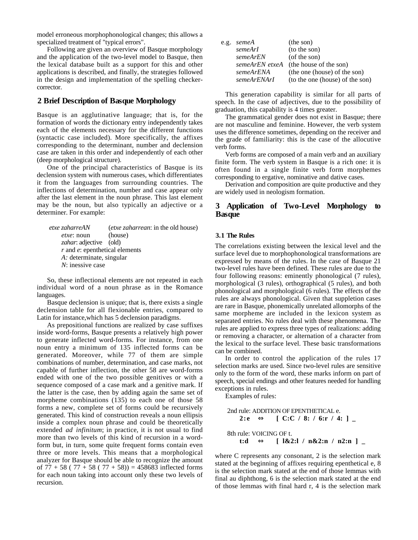model erroneous morphophonological changes; this allows a specialized treatment of "typical errors".

Following are given an overview of Basque morphology and the application of the two-level model to Basque, then the lexical database built as a support for this and other applications is described, and finally, the strategies followed in the design and implementation of the spelling checkercorrector.

# **2 Brief Description of Basque Morphology**

Basque is an agglutinative language; that is, for the formation of words the dictionary entry independently takes each of the elements necessary for the different functions (syntactic case included). More specifically, the affixes corresponding to the determinant, number and declension case are taken in this order and independently of each other (deep morphological structure).

One of the principal characteristics of Basque is its declension system with numerous cases, which differentiates it from the languages from surrounding countries. The inflections of determination, number and case appear only after the last element in the noun phrase. This last element may be the noun, but also typically an adjective or a determiner. For example:

| etxe zaharreAN                      | <i>(etxe zaharrean: in the old house)</i> |  |
|-------------------------------------|-------------------------------------------|--|
| etxe: noun                          | (house)                                   |  |
| zahar: adjective (old)              |                                           |  |
| $r$ and $e$ : epenthetical elements |                                           |  |
| A: determinate, singular            |                                           |  |
| $N$ : inessive case                 |                                           |  |

So, these inflectional elements are not repeated in each individual word of a noun phrase as in the Romance languages.

Basque declension is unique; that is, there exists a single declension table for all flexionable entries, compared to Latin for instance,which has 5 declension paradigms.

As prepositional functions are realized by case suffixes inside word-forms, Basque presents a relatively high power to generate inflected word-forms. For instance, from one noun entry a minimum of 135 inflected forms can be generated. Moreover, while 77 of them are simple combinations of number, determination, and case marks, not capable of further inflection, the other 58 are word-forms ended with one of the two possible genitives or with a sequence composed of a case mark and a genitive mark. If the latter is the case, then by adding again the same set of morpheme combinations (135) to each one of those 58 forms a new, complete set of forms could be recursively generated. This kind of construction reveals a noun ellipsis inside a complex noun phrase and could be theoretically extended *ad infinitum*; in practice, it is not usual to find more than two levels of this kind of recursion in a wordform but, in turn, some quite frequent forms contain even three or more levels. This means that a morphological analyzer for Basque should be able to recognize the amount of  $77 + 58 (77 + 58 (77 + 58)) = 458683$  inflected forms for each noun taking into account only these two levels of recursion.

| e.g. semeA  | (the son)                                    |
|-------------|----------------------------------------------|
| semeArI     | (to the son)                                 |
| semeArEN    | (of the son)                                 |
|             | <i>semeArEN etxeA</i> (the house of the son) |
| semeArENA   | (the one (house) of the son)                 |
| semeArENArI | (to the one (house) of the son)              |

This generation capability is similar for all parts of speech. In the case of adjectives, due to the possibility of graduation, this capability is 4 times greater.

The grammatical gender does not exist in Basque; there are not masculine and feminine. However, the verb system uses the difference sometimes, depending on the receiver and the grade of familiarity: this is the case of the allocutive verb forms.

Verb forms are composed of a main verb and an auxiliary finite form. The verb system in Basque is a rich one: it is often found in a single finite verb form morphemes corresponding to ergative, nominative and dative cases.

Derivation and composition are quite productive and they are widely used in neologism formation.

# **3 Application of Two-Level Morphology to Basque**

#### **3.1 The Rules**

The correlations existing between the lexical level and the surface level due to morphophonological transformations are expressed by means of the rules. In the case of Basque 21 two-level rules have been defined. These rules are due to the four following reasons: eminently phonological (7 rules), morphological (3 rules), orthographical (5 rules), and both phonological and morphological (6 rules). The effects of the rules are always phonological. Given that suppletion cases are rare in Basque, phonemically unrelated allomorphs of the same morpheme are included in the lexicon system as separated entries. No rules deal with these phenomena. The rules are applied to express three types of realizations: adding or removing a character, or alternation of a character from the lexical to the surface level. These basic transformations can be combined.

In order to control the application of the rules 17 selection marks are used. Since two-level rules are sensitive only to the form of the word, these marks inform on part of speech, special endings and other features needed for handling exceptions in rules.

Examples of rules:

```
2nd rule: ADDITION OF EPENTHETICAL e.
   2:e ⇔ [ C:C / 8: / 6:r / 4: ] _
8th rule: VOICING OF t.
   t:d ⇔ [ l&2:l / n&2:n / n2:n ] _
```
where C represents any consonant, 2 is the selection mark stated at the beginning of affixes requiring epenthetical e, 8 is the selection mark stated at the end of those lemmas with final au diphthong, 6 is the selection mark stated at the end of those lemmas with final hard r, 4 is the selection mark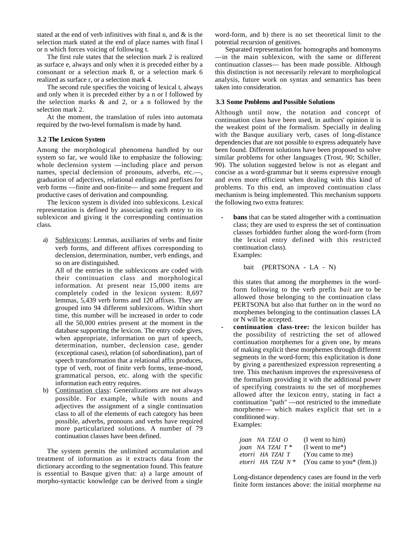stated at the end of verb infinitives with final n, and  $\&$  is the selection mark stated at the end of place names with final l or n which forces voicing of following t.

The first rule states that the selection mark 2 is realized as surface e, always and only when it is preceded either by a consonant or a selection mark 8, or a selection mark 6 realized as surface r, or a selection mark 4.

The second rule specifies the voicing of lexical t, always and only when it is preceded either by a n or l followed by the selection marks & and 2, or a n followed by the selection mark 2.

At the moment, the translation of rules into automata required by the two-level formalism is made by hand.

#### **3.2 The Lexicon System**

Among the morphological phenomena handled by our system so far, we would like to emphasize the following: whole declension system —including place and person names, special declension of pronouns, adverbs, etc.—, graduation of adjectives, relational endings and prefixes for verb forms —finite and non-finite— and some frequent and productive cases of derivation and compounding.

The lexicon system is divided into sublexicons. Lexical representation is defined by associating each entry to its sublexicon and giving it the corresponding continuation class.

a) Sublexicons: Lemmas, auxiliaries of verbs and finite verb forms, and different affixes corresponding to declension, determination, number, verb endings, and so on are distinguished.

All of the entries in the sublexicons are coded with their continuation class and morphological information. At present near 15,000 items are completely coded in the lexicon system: 8,697 lemmas, 5,439 verb forms and 120 affixes. They are grouped into 94 different sublexicons. Within short time, this number will be increased in order to code all the 50,000 entries present at the moment in the database supporting the lexicon. The entry code gives, when appropriate, information on part of speech, determination, number, declension case, gender (exceptional cases), relation (of subordination), part of speech transformation that a relational affix produces, type of verb, root of finite verb forms, tense-mood, grammatical person, etc. along with the specific information each entry requires.

b) Continuation class: Generalizations are not always possible. For example, while with nouns and adjectives the assignment of a single continuation class to all of the elements of each category has been possible, adverbs, pronouns and verbs have required more particularized solutions. A number of 79 continuation classes have been defined.

The system permits the unlimited accumulation and treatment of information as it extracts data from the dictionary according to the segmentation found. This feature is essential to Basque given that: a) a large amount of morpho-syntactic knowledge can be derived from a single

word-form, and b) there is no set theoretical limit to the potential recursion of genitives.

Separated representation for homographs and homonyms —in the main sublexicon, with the same or different continuation classes— has been made possible. Although this distinction is not necessarily relevant to morphological analysis, future work on syntax and semantics has been taken into consideration.

#### **3.3 Some Problems andPossible Solutions**

Although until now, the notation and concept of continuation class have been used, in authors' opinion it is the weakest point of the formalism. Specially in dealing with the Basque auxiliary verb, cases of long-distance dependencies that are not possible to express adequately have been found. Different solutions have been proposed to solve similar problems for other languages (Trost, 90; Schiller, 90). The solution suggested below is not as elegant and concise as a word-grammar but it seems expressive enough and even more efficient when dealing with this kind of problems. To this end, an improved continuation class mechanism is being implemented. This mechanism supports the following two extra features:

**bans** that can be stated altogether with a continuation class; they are used to express the set of continuation classes forbidden further along the word-form (from the lexical entry defined with this restricted continuation class). Examples:

bait (PERTSONA - LA - N)

this states that among the morphemes in the wordform following to the verb prefix *bait* are to be allowed those belonging to the continuation class PERTSONA but also that further on in the word no morphemes belonging to the continuation classes LA or N will be accepted.

**- continuation class-tree:** the lexicon builder has the possibility of restricting the set of allowed continuation morphemes for a given one, by means of making explicit these morphemes through different segments in the word-form; this explicitation is done by giving a parenthesized expression representing a tree. This mechanism improves the expressiveness of the formalism providing it with the additional power of specifying constraints to the set of morphemes allowed after the lexicon entry, stating in fact a continuation "path" —not restricted to the immediate morpheme— which makes explicit that set in a conditioned way. Examples:

| joan NA TZAI O       | (I went to him)                |
|----------------------|--------------------------------|
| joan NA TZAI $T^*$   | $(I$ went to me <sup>*</sup> ) |
| etorri HA TZAI T     | (You came to me)               |
| etorri HA TZAI $N^*$ | (You came to you* (fem.))      |

Long-distance dependency cases are found in the verb finite form instances above: the initial morpheme *na*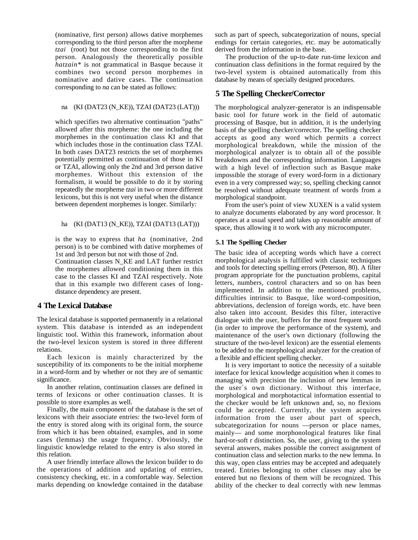(nominative, first person) allows dative morphemes corresponding to the third person after the morpheme *tzai* (root) but not those corresponding to the first person. Analogously the theoretically possible *hatzain\** is not grammatical in Basque because it combines two second person morphemes in nominative and dative cases. The continuation corresponding to *na* can be stated as follows:

#### na (KI (DAT23 (N\_KE)), TZAI (DAT23 (LAT)))

which specifies two alternative continuation "paths" allowed after this morpheme: the one including the morphemes in the continuation class KI and that which includes those in the continuation class TZAI. In both cases DAT23 restricts the set of morphemes potentially permitted as continuation of those in KI or TZAI, allowing only the 2nd and 3rd person dative morphemes. Without this extension of the formalism, it would be possible to do it by storing repeatedly the morpheme *tzai* in two or more different lexicons, but this is not very useful when the distance between dependent morphemes is longer. Similarly:

#### ha (KI (DAT13 (N\_KE)), TZAI (DAT13 (LAT)))

is the way to express that *ha* (nominative, 2nd person) is to be combined with dative morphemes of 1st and 3rd person but not with those of 2nd.

Continuation classes N\_KE and LAT further restrict the morphemes allowed conditioning them in this case to the classes KI and TZAI respectively. Note that in this example two different cases of longdistance dependency are present.

# **4 The Lexical Database**

The lexical database is supported permanently in a relational system. This database is intended as an independent linguistic tool. Within this framework, information about the two-level lexicon system is stored in three different relations.

Each lexicon is mainly characterized by the susceptibility of its components to be the initial morpheme in a word-form and by whether or not they are of semantic significance.

In another relation, continuation classes are defined in terms of lexicons or other continuation classes. It is possible to store examples as well.

Finally, the main component of the database is the set of lexicons with their associate entries: the two-level form of the entry is stored along with its original form, the source from which it has been obtained, examples, and in some cases (lemmas) the usage frequency. Obviously, the linguistic knowledge related to the entry is also stored in this relation.

A user friendly interface allows the lexicon builder to do the operations of addition and updating of entries, consistency checking, etc. in a comfortable way. Selection marks depending on knowledge contained in the database

such as part of speech, subcategorization of nouns, special endings for certain categories, etc. may be automatically derived from the information in the base.

The production of the up-to-date run-time lexicon and continuation class definitions in the format required by the two-level system is obtained automatically from this database by means of specially designed procedures.

# **5 The Spelling Checker/Corrector**

The morphological analyzer-generator is an indispensable basic tool for future work in the field of automatic processing of Basque, but in addition, it is the underlying basis of the spelling checker/corrector. The spelling checker accepts as good any word which permits a correct morphological breakdown, while the mission of the morphological analyzer is to obtain all of the possible breakdowns and the corresponding information. Languages with a high level of inflection such as Basque make impossible the storage of every word-form in a dictionary even in a very compressed way; so, spelling checking cannot be resolved without adequate treatment of words from a morphological standpoint.

From the user's point of view XUXEN is a valid system to analyze documents elaborated by any word processor. It operates at a usual speed and takes up reasonable amount of space, thus allowing it to work with any microcomputer.

#### **5.1 The Spelling Checker**

The basic idea of accepting words which have a correct morphological analysis is fulfilled with classic techniques and tools for detecting spelling errors (Peterson, 80). A filter program appropriate for the punctuation problems, capital letters, numbers, control characters and so on has been implemented. In addition to the mentioned problems, difficulties intrinsic to Basque, like word-composition, abbreviations, declension of foreign words, etc. have been also taken into account. Besides this filter, interactive dialogue with the user, buffers for the most frequent words (in order to improve the performance of the system), and maintenance of the user's own dictionary (following the structure of the two-level lexicon) are the essential elements to be added to the morphological analyzer for the creation of a flexible and efficient spelling checker.

It is very important to notice the necessity of a suitable interface for lexical knowledge acquisition when it comes to managing with precision the inclusion of new lemmas in the user´s own dictionary. Without this interface, morphological and morphotactical information essential to the checker would be left unknown and, so, no flexions could be accepted. Currently, the system acquires information from the user about part of speech, subcategorization for nouns —person or place names, mainly— and some morphonological features like final hard-or-soft r distinction. So, the user, giving to the system several answers, makes possible the correct assignment of continuation class and selection marks to the new lemma. In this way, open class entries may be accepted and adequately treated. Entries belonging to other classes may also be entered but no flexions of them will be recognized. This ability of the checker to deal correctly with new lemmas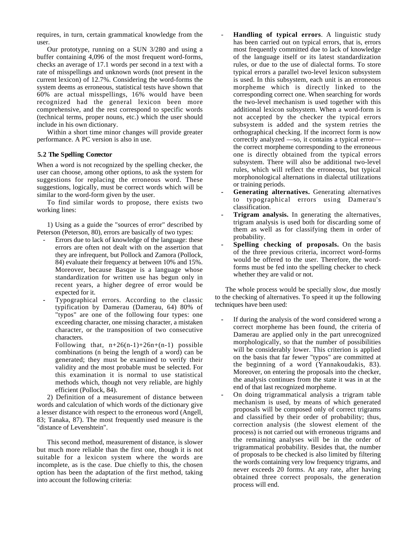requires, in turn, certain grammatical knowledge from the user.

Our prototype, running on a SUN 3/280 and using a buffer containing 4,096 of the most frequent word-forms, checks an average of 17.1 words per second in a text with a rate of misspellings and unknown words (not present in the current lexicon) of 12.7%. Considering the word-forms the system deems as erroneous, statistical tests have shown that 60% are actual misspellings, 16% would have been recognized had the general lexicon been more comprehensive, and the rest correspond to specific words (technical terms, proper nouns, etc.) which the user should include in his own dictionary.

Within a short time minor changes will provide greater performance. A PC version is also in use.

## **5.2 The Spelling Corrector**

When a word is not recognized by the spelling checker, the user can choose, among other options, to ask the system for suggestions for replacing the erroneous word. These suggestions, logically, must be correct words which will be similar to the word-form given by the user.

To find similar words to propose, there exists two working lines:

1) Using as a guide the "sources of error" described by Peterson (Peterson, 80), errors are basically of two types:

- Errors due to lack of knowledge of the language: these errors are often not dealt with on the assertion that they are infrequent, but Pollock and Zamora (Pollock, 84) evaluate their frequency at between 10% and 15%. Moreover, because Basque is a language whose standardization for written use has begun only in recent years, a higher degree of error would be expected for it.
- **-** Typographical errors. According to the classic typification by Damerau (Damerau, 64) 80% of "typos" are one of the following four types: one exceeding character, one missing character, a mistaken character, or the transposition of two consecutive characters.

Following that,  $n+26(n-1)+26n+(n-1)$  possible combinations (n being the length of a word) can be generated; they must be examined to verify their validity and the most probable must be selected. For this examination it is normal to use statistical methods which, though not very reliable, are highly efficient (Pollock, 84).

2) Definition of a measurement of distance between words and calculation of which words of the dictionary give a lesser distance with respect to the erroneous word (Angell, 83; Tanaka, 87). The most frequently used measure is the "distance of Levenshtein".

This second method, measurement of distance, is slower but much more reliable than the first one, though it is not suitable for a lexicon system where the words are incomplete, as is the case. Due chiefly to this, the chosen option has been the adaptation of the first method, taking into account the following criteria:

- **Handling of typical errors**. A linguistic study has been carried out on typical errors, that is, errors most frequently committed due to lack of knowledge of the language itself or its latest standardization rules, or due to the use of dialectal forms. To store typical errors a parallel two-level lexicon subsystem is used. In this subsystem, each unit is an erroneous morpheme which is directly linked to the corresponding correct one. When searching for words the two-level mechanism is used together with this additional lexicon subsystem. When a word-form is not accepted by the checker the typical errors subsystem is added and the system retries the orthographical checking. If the incorrect form is now correctly analyzed —so, it contains a typical error the correct morpheme corresponding to the erroneous one is directly obtained from the typical errors subsystem. There will also be additional two-level rules, which will reflect the erroneous, but typical morphonological alternations in dialectal utilizations or training periods.
- **- Generating alternatives.** Generating alternatives to typographical errors using Damerau's classification.
- **- Trigram analysis.** In generating the alternatives, trigram analysis is used both for discarding some of them as well as for classifying them in order of probability.
- **- Spelling checking of proposals.** On the basis of the three previous criteria, incorrect word-forms would be offered to the user. Therefore, the wordforms must be fed into the spelling checker to check whether they are valid or not.

The whole process would be specially slow, due mostly to the checking of alternatives. To speed it up the following techniques have been used:

- **-** If during the analysis of the word considered wrong a correct morpheme has been found, the criteria of Damerau are applied only in the part unrecognized morphologically, so that the number of possibilities will be considerably lower. This criterion is applied on the basis that far fewer "typos" are committed at the beginning of a word (Yannakoudakis, 83). Moreover, on entering the proposals into the checker, the analysis continues from the state it was in at the end of that last recognized morpheme.
- **-** On doing trigrammatical analysis a trigram table mechanism is used, by means of which generated proposals will be composed only of correct trigrams and classified by their order of probability; thus, correction analysis (the slowest element of the process) is not carried out with erroneous trigrams and the remaining analyses will be in the order of trigrammatical probability. Besides that, the number of proposals to be checked is also limited by filtering the words containing very low frequency trigrams, and never exceeds 20 forms. At any rate, after having obtained three correct proposals, the generation process will end.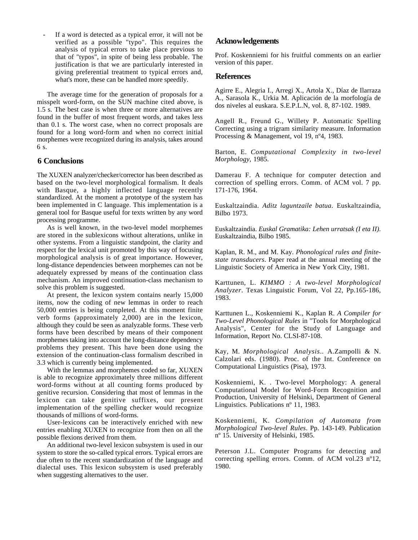**-** If a word is detected as a typical error, it will not be verified as a possible "typo". This requires the analysis of typical errors to take place previous to that of "typos", in spite of being less probable. The justification is that we are particularly interested in giving preferential treatment to typical errors and, what's more, these can be handled more speedily.

The average time for the generation of proposals for a misspelt word-form, on the SUN machine cited above, is 1.5 s. The best case is when three or more alternatives are found in the buffer of most frequent words, and takes less than 0.1 s. The worst case, when no correct proposals are found for a long word-form and when no correct initial morphemes were recognized during its analysis, takes around 6 s.

# **6 Conclusions**

The XUXEN analyzer/checker/corrector has been described as based on the two-level morphological formalism. It deals with Basque, a highly inflected language recently standardized. At the moment a prototype of the system has been implemented in C language. This implementation is a general tool for Basque useful for texts written by any word processing programme.

As is well known, in the two-level model morphemes are stored in the sublexicons without alterations, unlike in other systems. From a linguistic standpoint, the clarity and respect for the lexical unit promoted by this way of focusing morphological analysis is of great importance. However, long-distance dependencies between morphemes can not be adequately expressed by means of the continuation class mechanism. An improved continuation-class mechanism to solve this problem is suggested.

At present, the lexicon system contains nearly 15,000 items, now the coding of new lemmas in order to reach 50,000 entries is being completed. At this moment finite verb forms (approximately 2,000) are in the lexicon, although they could be seen as analyzable forms. These verb forms have been described by means of their component morphemes taking into account the long-distance dependency problems they present. This have been done using the extension of the continuation-class formalism described in 3.3 which is currently being implemented.

With the lemmas and morphemes coded so far, XUXEN is able to recognize approximately three millions different word-forms without at all counting forms produced by genitive recursion. Considering that most of lemmas in the lexicon can take genitive suffixes, our present implementation of the spelling checker would recognize thousands of millions of word-forms.

User-lexicons can be interactively enriched with new entries enabling XUXEN to recognize from then on all the possible flexions derived from them.

An additional two-level lexicon subsystem is used in our system to store the so-called typical errors. Typical errors are due often to the recent standardization of the language and dialectal uses. This lexicon subsystem is used preferably when suggesting alternatives to the user.

# **Acknowledgements**

Prof. Koskenniemi for his fruitful comments on an earlier version of this paper.

## **References**

Agirre E., Alegria I., Arregi X., Artola X., Díaz de Ilarraza A., Sarasola K., Urkia M. Aplicación de la morfología de dos niveles al euskara. S.E.P.L.N, vol. 8, 87-102. 1989.

Angell R., Freund G., Willety P. Automatic Spelling Correcting using a trigram similarity measure. Information Processing & Management, vol 19, nº4, 1983.

Barton, E. *Computational Complexity in two-level Morphology*, 1985.

Damerau F. A technique for computer detection and correction of spelling errors. Comm. of ACM vol. 7 pp. 171-176, 1964.

Euskaltzaindia. *Aditz laguntzaile batua*. Euskaltzaindia, Bilbo 1973.

Euskaltzaindia. *Euskal Gramatika: Lehen urratsak (I eta II)*. Euskaltzaindia, Bilbo 1985.

Kaplan, R. M., and M. Kay. *Phonological rules and finitestate transducers*. Paper read at the annual meeting of the Linguistic Society of America in New York City, 1981.

Karttunen, L. *KIMMO : A two-level Morphological Analyzer*. Texas Linguistic Forum, Vol 22, Pp.165-186, 1983.

Karttunen L., Koskenniemi K., Kaplan R. *A Compiler for Two-Level Phonological Rules* in "Tools for Morphological Analysis", Center for the Study of Language and Information, Report No. CLSI-87-108.

Kay, M. *Morphological Analysis*.. A.Zampolli & N. Calzolari eds. (1980). Proc. of the Int. Conference on Computational Linguistics (Pisa), 1973.

Koskenniemi, K. . Two-level Morphology: A general Computational Model for Word-Form Recognition and Production, University of Helsinki, Department of General Linguistics. Publications nº 11, 1983.

Koskenniemi, K. *Compilation of Automata from Morphological Two-level Rules*. Pp. 143-149. Publication nº 15. University of Helsinki, 1985.

Peterson J.L. Computer Programs for detecting and correcting spelling errors. Comm. of ACM vol.23 nº12, 1980.